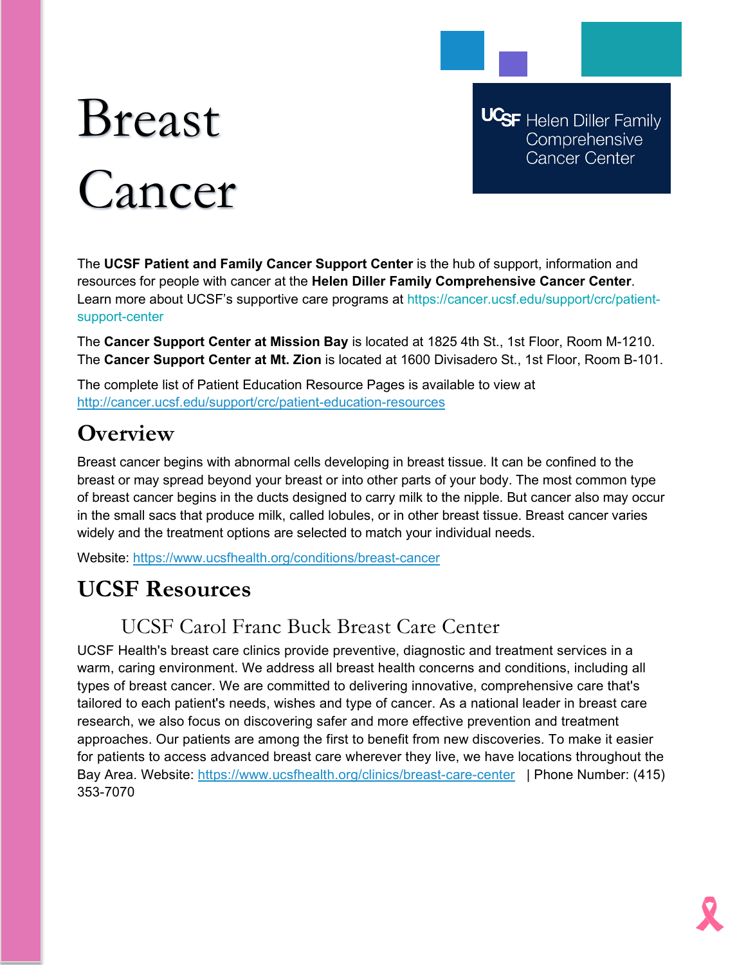# Breast Cancer

**UCSF** Helen Diller Family Comprehensive **Cancer Center** 

The **UCSF Patient and Family Cancer Support Center** is the hub of support, information and resources for people with cancer at the **Helen Diller Family Comprehensive Cancer Center**. Learn more about UCSF's supportive care programs at https://cancer.ucsf.edu/support/crc/patientsupport-center

The **Cancer Support Center at Mission Bay** is located at 1825 4th St., 1st Floor, Room M-1210. The **Cancer Support Center at Mt. Zion** is located at 1600 Divisadero St., 1st Floor, Room B-101.

The complete list of Patient Education Resource Pages is available to view at <http://cancer.ucsf.edu/support/crc/patient-education-resources>

# **Overview**

Breast cancer begins with abnormal cells developing in breast tissue. It can be confined to the breast or may spread beyond your breast or into other parts of your body. The most common type of breast cancer begins in the ducts designed to carry milk to the nipple. But cancer also may occur in the small sacs that produce milk, called lobules, or in other breast tissue. Breast cancer varies widely and the treatment options are selected to match your individual needs.

Website: <https://www.ucsfhealth.org/conditions/breast-cancer>

# **UCSF Resources**

# UCSF Carol Franc Buck Breast Care Center

UCSF Health's breast care clinics provide preventive, diagnostic and treatment services in a warm, caring environment. We address all breast health concerns and conditions, including all types of breast cancer. We are committed to delivering innovative, comprehensive care that's tailored to each patient's needs, wishes and type of cancer. As a national leader in breast care research, we also focus on discovering safer and more effective prevention and treatment approaches. Our patients are among the first to benefit from new discoveries. To make it easier for patients to access advanced breast care wherever they live, we have locations throughout the Bay Area. Website:<https://www.ucsfhealth.org/clinics/breast-care-center> | Phone Number: (415) 353-7070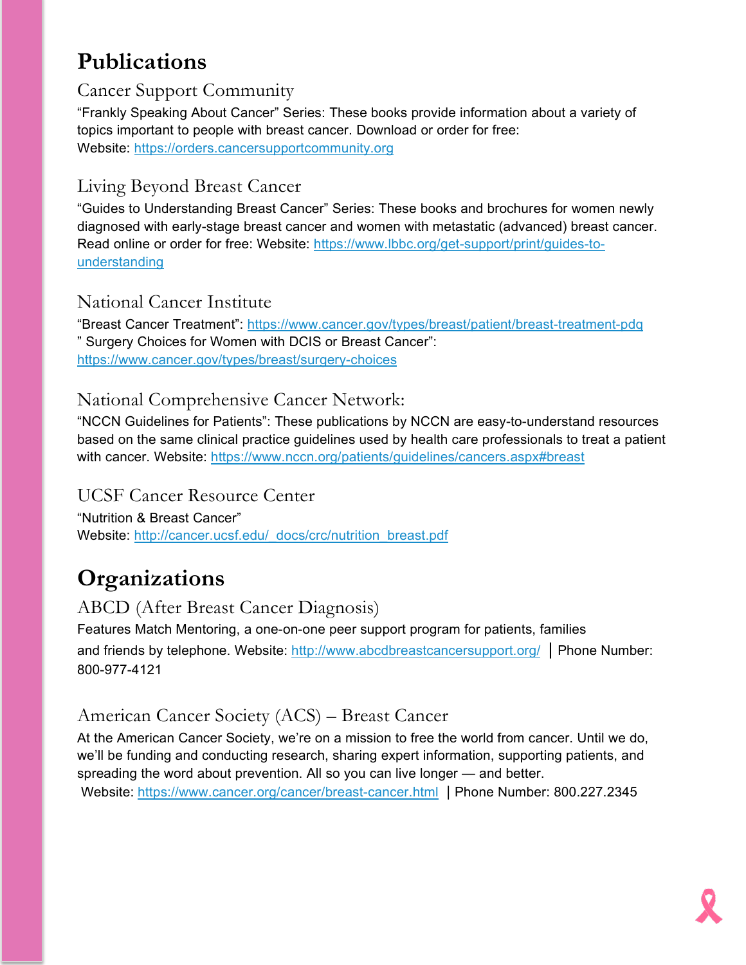# **Publications**

### Cancer Support Community

"Frankly Speaking About Cancer" Series: These books provide information about a variety of topics important to people with breast cancer. Download or order for free: Website: [https://orders.cancersupportcommunity.org](https://orders.cancersupportcommunity.org/)

## Living Beyond Breast Cancer

"Guides to Understanding Breast Cancer" Series: These books and brochures for women newly diagnosed with early-stage breast cancer and women with metastatic (advanced) breast cancer. Read online or order for free: Website: [https://www.lbbc.org/get-support/print/guides-to](https://www.lbbc.org/get-support/print/guides-to-understanding)[understanding](https://www.lbbc.org/get-support/print/guides-to-understanding)

#### National Cancer Institute

"Breast Cancer Treatment":<https://www.cancer.gov/types/breast/patient/breast-treatment-pdq> " Surgery Choices for Women with DCIS or Breast Cancer": <https://www.cancer.gov/types/breast/surgery-choices>

#### National Comprehensive Cancer Network:

"NCCN Guidelines for Patients": These publications by NCCN are easy-to-understand resources based on the same clinical practice guidelines used by health care professionals to treat a patient with cancer. Website:<https://www.nccn.org/patients/guidelines/cancers.aspx#breast>

#### UCSF Cancer Resource Center

"Nutrition & Breast Cancer" Website: [http://cancer.ucsf.edu/\\_docs/crc/nutrition\\_breast.pdf](http://cancer.ucsf.edu/_docs/crc/nutrition_breast.pdf)

# **Organizations**

# ABCD (After Breast Cancer Diagnosis)

Features Match Mentoring, a one-on-one peer support program for patients, families and friends by telephone. Website:<http://www.abcdbreastcancersupport.org/> | Phone Number: 800-977-4121

## American Cancer Society (ACS) – Breast Cancer

At the American Cancer Society, we're on a mission to free the world from cancer. Until we do, we'll be funding and conducting research, sharing expert information, supporting patients, and spreading the word about prevention. All so you can live longer — and better. Website: <https://www.cancer.org/cancer/breast-cancer.html> | Phone Number: 800.227.2345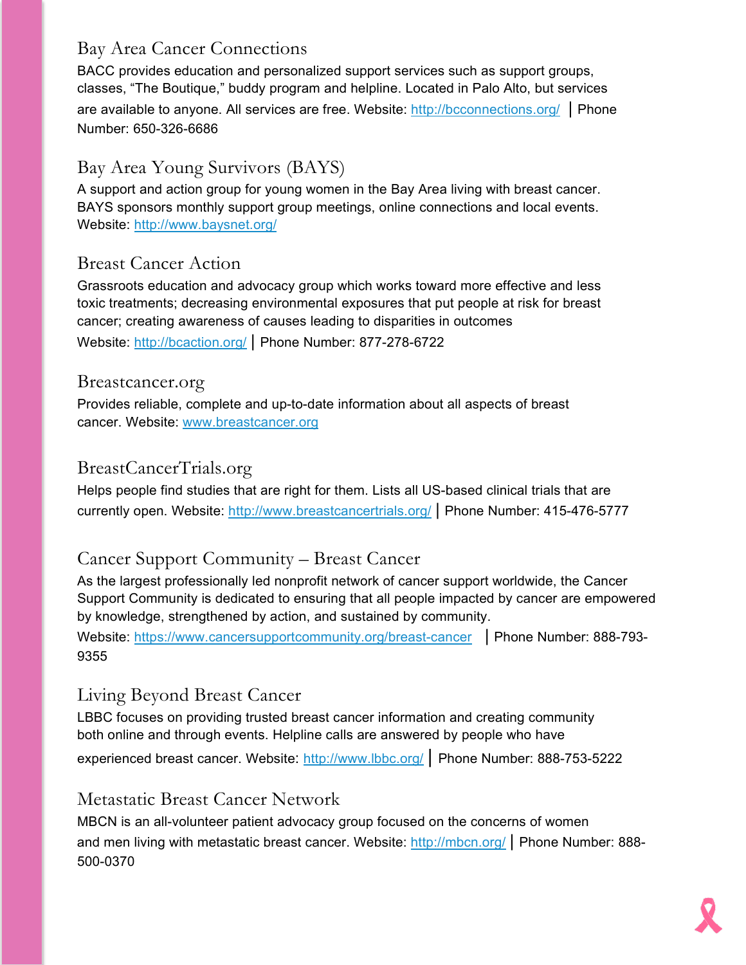## Bay Area Cancer Connections

BACC provides education and personalized support services such as support groups, classes, "The Boutique," buddy program and helpline. Located in Palo Alto, but services are available to anyone. All services are free. Website:<http://bcconnections.org/> | Phone Number: 650-326-6686

## Bay Area Young Survivors (BAYS)

A support and action group for young women in the Bay Area living with breast cancer. BAYS sponsors monthly support group meetings, online connections and local events. Website:<http://www.baysnet.org/>

#### Breast Cancer Action

Grassroots education and advocacy group which works toward more effective and less toxic treatments; decreasing environmental exposures that put people at risk for breast cancer; creating awareness of causes leading to disparities in outcomes

Website:<http://bcaction.org/> | Phone Number: 877-278-6722

#### Breastcancer.org

Provides reliable, complete and up-to-date information about all aspects of breast cancer. Website: [www.breastcancer.org](http://www.breastcancer.org/)

#### BreastCancerTrials.org

Helps people find studies that are right for them. Lists all US-based clinical trials that are currently open. Website:<http://www.breastcancertrials.org/> | Phone Number: 415-476-5777

## Cancer Support Community – Breast Cancer

As the largest professionally led nonprofit network of cancer support worldwide, the Cancer Support Community is dedicated to ensuring that all people impacted by cancer are empowered by knowledge, strengthened by action, and sustained by community.

Website:<https://www.cancersupportcommunity.org/breast-cancer> | Phone Number: 888-793-9355

## Living Beyond Breast Cancer

LBBC focuses on providing trusted breast cancer information and creating community both online and through events. Helpline calls are answered by people who have

experienced breast cancer. Website:<http://www.lbbc.org/> | Phone Number: 888-753-5222

#### Metastatic Breast Cancer Network

MBCN is an all-volunteer patient advocacy group focused on the concerns of women and men living with metastatic breast cancer. Website:<http://mbcn.org/> Phone Number: 888-500-0370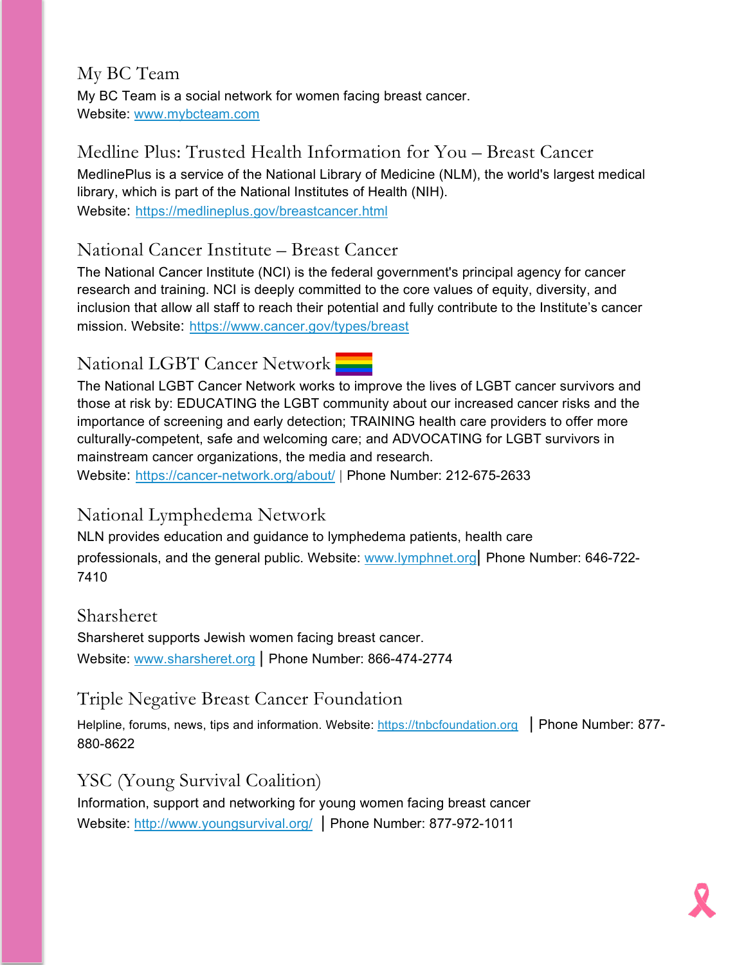#### My BC Team My BC Team is a social network for women facing breast cancer. Website: [www.mybcteam.com](http://www.mybcteam.com/)

# Medline Plus: Trusted Health Information for You – Breast Cancer MedlinePlus is a service of the National Library of Medicine (NLM), the world's largest medical library, which is part of the National Institutes of Health (NIH).

Website: <https://medlineplus.gov/breastcancer.html>

# National Cancer Institute – Breast Cancer

The National Cancer Institute (NCI) is the federal government's principal agency for cancer research and training. NCI is deeply committed to the core values of equity, diversity, and inclusion that allow all staff to reach their potential and fully contribute to the Institute's cancer mission. Website: <https://www.cancer.gov/types/breast>

# National LGBT Cancer Network

The National LGBT Cancer Network works to improve the lives of LGBT cancer survivors and those at risk by: EDUCATING the LGBT community about our increased cancer risks and the importance of screening and early detection; TRAINING health care providers to offer more culturally-competent, safe and welcoming care; and ADVOCATING for LGBT survivors in mainstream cancer organizations, the media and research.

Website: <https://cancer-network.org/about/> | Phone Number: 212-675-2633

# National Lymphedema Network

NLN provides education and guidance to lymphedema patients, health care professionals, and the general public. Website: [www.lymphnet.org|](http://www.lymphnet.org/) Phone Number: 646-722- 7410

#### Sharsheret

Sharsheret supports Jewish women facing breast cancer. Website: [www.sharsheret.org](http://www.sharsheret.org/) | Phone Number: 866-474-2774

# Triple Negative Breast Cancer Foundation

Helpline, forums, news, tips and information. Website: [https://tnbcfoundation.org](https://tnbcfoundation.org/) | Phone Number: 877-880-8622

# YSC (Young Survival Coalition)

Information, support and networking for young women facing breast cancer Website:<http://www.youngsurvival.org/> Phone Number: 877-972-1011